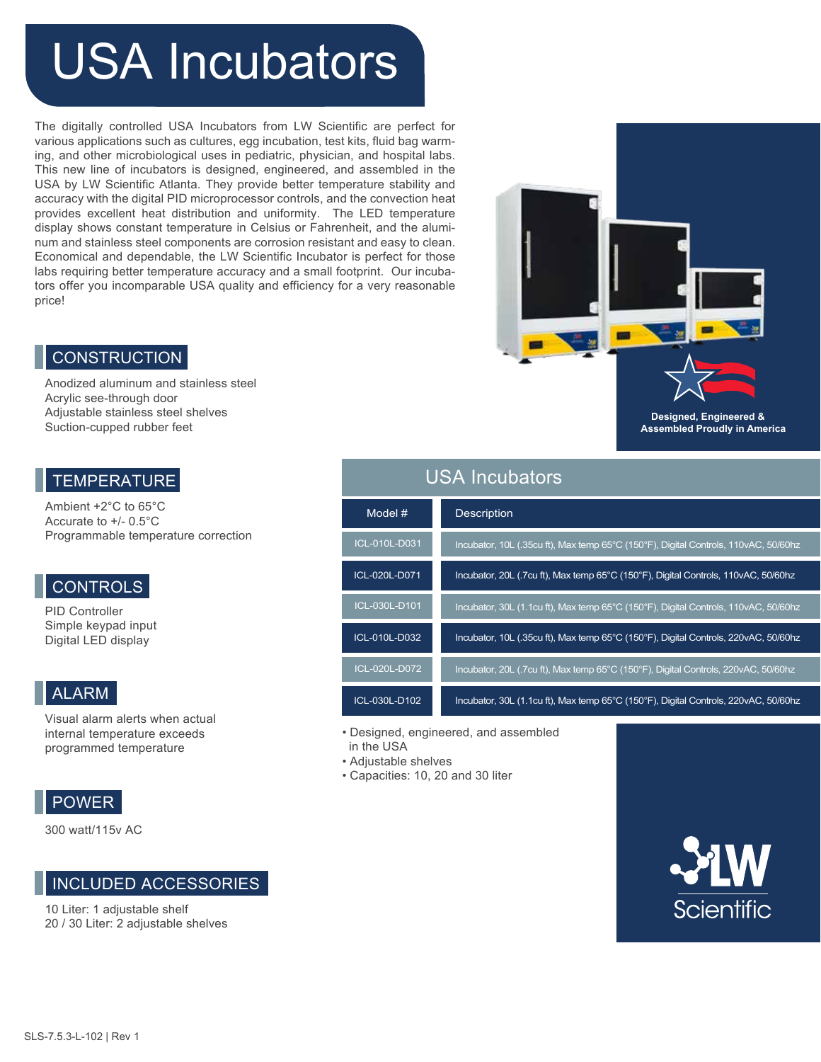# USA Incubators

The digitally controlled USA Incubators from LW Scientific are perfect for various applications such as cultures, egg incubation, test kits, fluid bag warming, and other microbiological uses in pediatric, physician, and hospital labs. This new line of incubators is designed, engineered, and assembled in the USA by LW Scientific Atlanta. They provide better temperature stability and accuracy with the digital PID microprocessor controls, and the convection heat provides excellent heat distribution and uniformity. The LED temperature display shows constant temperature in Celsius or Fahrenheit, and the aluminum and stainless steel components are corrosion resistant and easy to clean. Economical and dependable, the LW Scientific Incubator is perfect for those labs requiring better temperature accuracy and a small footprint. Our incubators offer you incomparable USA quality and efficiency for a very reasonable price!

#### **CONSTRUCTION**

Anodized aluminum and stainless steel Acrylic see-through door Adjustable stainless steel shelves Suction-cupped rubber feet

#### **TEMPERATURE**

Ambient +2°C to 65°C Accurate to +/- 0.5°C Programmable temperature correction

## **CONTROLS**

PID Controller Simple keypad input Digital LED display

## ALARM

Visual alarm alerts when actual internal temperature exceeds programmed temperature

### POWER

300 watt/115v AC

#### INCLUDED ACCESSORIES

10 Liter: 1 adjustable shelf 20 / 30 Liter: 2 adjustable shelves



**Designed, Engineered & Assembled Proudly in America**

## USA Incubators

| Model #       | <b>Description</b>                                                                  |
|---------------|-------------------------------------------------------------------------------------|
| ICL-010L-D031 | Incubator, 10L (.35cu ft), Max temp 65°C (150°F), Digital Controls, 110vAC, 50/60hz |
| ICL-020L-D071 | Incubator, 20L (.7cu ft), Max temp 65°C (150°F), Digital Controls, 110vAC, 50/60hz  |
| ICL-030L-D101 | Incubator, 30L (1.1cu ft), Max temp 65°C (150°F), Digital Controls, 110vAC, 50/60hz |
| ICL-010L-D032 | Incubator, 10L (.35cu ft), Max temp 65°C (150°F), Digital Controls, 220vAC, 50/60hz |
| ICL-020L-D072 | Incubator, 20L (.7cu ft), Max temp 65°C (150°F), Digital Controls, 220vAC, 50/60hz  |
| ICL-030L-D102 | Incubator, 30L (1.1cu ft), Max temp 65°C (150°F), Digital Controls, 220vAC, 50/60hz |

- Designed, engineered, and assembled
- in the USA • Adjustable shelves
- Capacities: 10, 20 and 30 liter